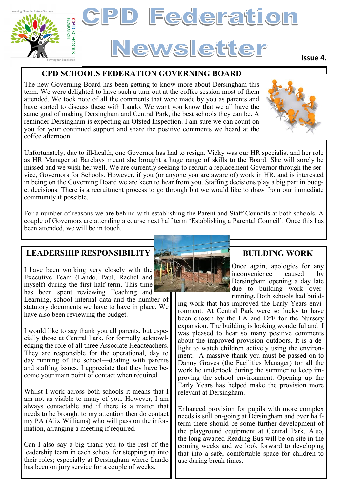

#### **CPD SCHOOLS FEDERATION GOVERNING BOARD**

The new Governing Board has been getting to know more about Dersingham this term. We were delighted to have such a turn-out at the coffee session most of them attended. We took note of all the comments that were made by you as parents and have started to discuss these with Lando. We want you know that we all have the same goal of making Dersingham and Central Park, the best schools they can be. A reminder Dersingham is expecting an Ofsted Inspection. I am sure we can count on you for your continued support and share the positive comments we heard at the coffee afternoon.

Unfortunately, due to ill-health, one Governor has had to resign. Vicky was our HR specialist and her role as HR Manager at Barclays meant she brought a huge range of skills to the Board. She will sorely be missed and we wish her well. We are currently seeking to recruit a replacement Governor through the service, Governors for Schools. However, if you (or anyone you are aware of) work in HR, and is interested in being on the Governing Board we are keen to hear from you. Staffing decisions play a big part in budget decisions. There is a recruitment process to go through but we would like to draw from our immediate community if possible.

For a number of reasons we are behind with establishing the Parent and Staff Councils at both schools. A couple of Governors are attending a course next half term 'Establishing a Parental Council'. Once this has been attended, we will be in touch.

#### **LEADERSHIP RESPONSIBILITY**

I have been working very closely with the Executive Team (Lando, Paul, Rachel and myself) during the first half term. This time has been spent reviewing Teaching and

Learning, school internal data and the number of statutory documents we have to have in place. We have also been reviewing the budget.

I would like to say thank you all parents, but especially those at Central Park, for formally acknowledging the role of all three Associate Headteachers. They are responsible for the operational, day to day running of the school—dealing with parents and staffing issues. I appreciate that they have become your main point of contact when required.

Whilst I work across both schools it means that I am not as visible to many of you. However, I am always contactable and if there is a matter that needs to be brought to my attention then do contact my PA (Alix Williams) who will pass on the information, arranging a meeting if required.

Can I also say a big thank you to the rest of the leadership team in each school for stepping up into their roles; especially at Dersingham where Lando has been on jury service for a couple of weeks.

# **BUILDING WORK**

Once again, apologies for any inconvenience caused by Dersingham opening a day late due to building work overrunning. Both schools had build-

ing work that has improved the Early Years environment. At Central Park were so lucky to have been chosen by the LA and DfE for the Nursery expansion. The building is looking wonderful and I was pleased to hear so many positive comments about the improved provision outdoors. It is a delight to watch children actively using the environment. A massive thank you must be passed on to Danny Graves (the Facilities Manager) for all the work he undertook during the summer to keep improving the school environment. Opening up the Early Years has helped make the provision more relevant at Dersingham.

Enhanced provision for pupils with more complex needs is still on-going at Dersingham and over halfterm there should be some further development of the playground equipment at Central Park. Also, the long awaited Reading Bus will be on site in the coming weeks and we look forward to developing that into a safe, comfortable space for children to use during break times.